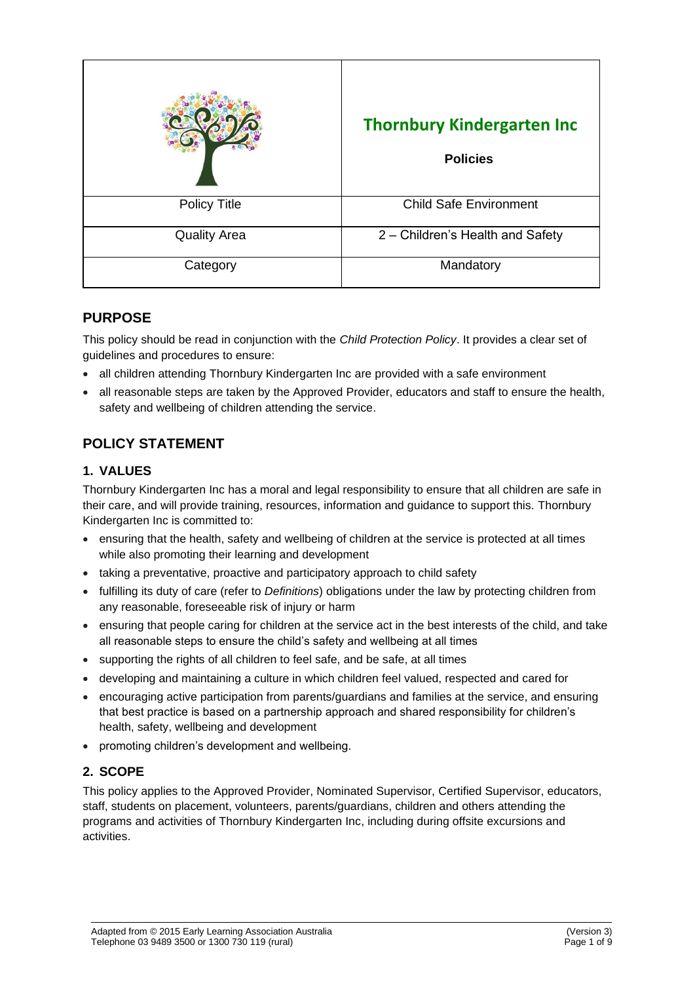|                     | <b>Thornbury Kindergarten Inc</b><br><b>Policies</b> |
|---------------------|------------------------------------------------------|
| <b>Policy Title</b> | <b>Child Safe Environment</b>                        |
| <b>Quality Area</b> | 2 - Children's Health and Safety                     |
| Category            | Mandatory                                            |

## **PURPOSE**

This policy should be read in conjunction with the *Child Protection Policy*. It provides a clear set of guidelines and procedures to ensure:

- all children attending Thornbury Kindergarten Inc are provided with a safe environment
- all reasonable steps are taken by the Approved Provider, educators and staff to ensure the health, safety and wellbeing of children attending the service.

# **POLICY STATEMENT**

## **1. VALUES**

Thornbury Kindergarten Inc has a moral and legal responsibility to ensure that all children are safe in their care, and will provide training, resources, information and guidance to support this. Thornbury Kindergarten Inc is committed to:

- ensuring that the health, safety and wellbeing of children at the service is protected at all times while also promoting their learning and development
- taking a preventative, proactive and participatory approach to child safety
- fulfilling its duty of care (refer to *Definitions*) obligations under the law by protecting children from any reasonable, foreseeable risk of injury or harm
- ensuring that people caring for children at the service act in the best interests of the child, and take all reasonable steps to ensure the child's safety and wellbeing at all times
- supporting the rights of all children to feel safe, and be safe, at all times
- developing and maintaining a culture in which children feel valued, respected and cared for
- encouraging active participation from parents/guardians and families at the service, and ensuring that best practice is based on a partnership approach and shared responsibility for children's health, safety, wellbeing and development
- promoting children's development and wellbeing.

## **2. SCOPE**

This policy applies to the Approved Provider, Nominated Supervisor, Certified Supervisor, educators, staff, students on placement, volunteers, parents/guardians, children and others attending the programs and activities of Thornbury Kindergarten Inc, including during offsite excursions and activities.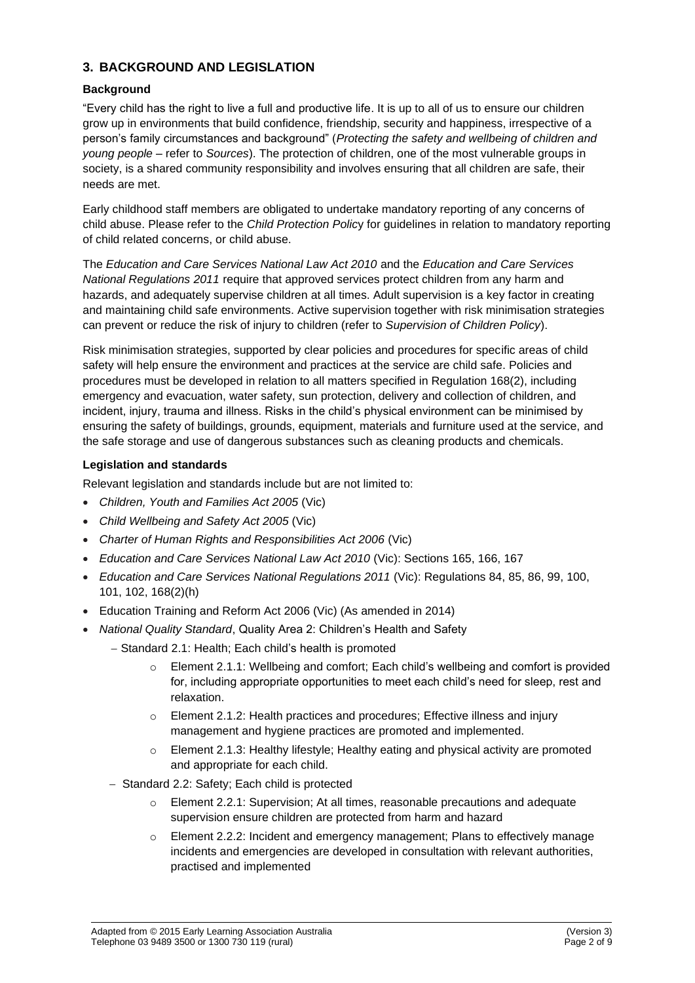## **3. BACKGROUND AND LEGISLATION**

#### **Background**

"Every child has the right to live a full and productive life. It is up to all of us to ensure our children grow up in environments that build confidence, friendship, security and happiness, irrespective of a person's family circumstances and background" (*Protecting the safety and wellbeing of children and young people* – refer to *Sources*). The protection of children, one of the most vulnerable groups in society, is a shared community responsibility and involves ensuring that all children are safe, their needs are met.

Early childhood staff members are obligated to undertake mandatory reporting of any concerns of child abuse. Please refer to the *Child Protection Polic*y for guidelines in relation to mandatory reporting of child related concerns, or child abuse.

The *Education and Care Services National Law Act 2010* and the *Education and Care Services National Regulations 2011* require that approved services protect children from any harm and hazards, and adequately supervise children at all times. Adult supervision is a key factor in creating and maintaining child safe environments. Active supervision together with risk minimisation strategies can prevent or reduce the risk of injury to children (refer to *Supervision of Children Policy*).

Risk minimisation strategies, supported by clear policies and procedures for specific areas of child safety will help ensure the environment and practices at the service are child safe. Policies and procedures must be developed in relation to all matters specified in Regulation 168(2), including emergency and evacuation, water safety, sun protection, delivery and collection of children, and incident, injury, trauma and illness. Risks in the child's physical environment can be minimised by ensuring the safety of buildings, grounds, equipment, materials and furniture used at the service, and the safe storage and use of dangerous substances such as cleaning products and chemicals.

#### **Legislation and standards**

Relevant legislation and standards include but are not limited to:

- *Children, Youth and Families Act 2005* (Vic)
- *Child Wellbeing and Safety Act 2005* (Vic)
- *Charter of Human Rights and Responsibilities Act 2006* (Vic)
- *Education and Care Services National Law Act 2010* (Vic): Sections 165, 166, 167
- *Education and Care Services National Regulations 2011* (Vic): Regulations 84, 85, 86, 99, 100, 101, 102, 168(2)(h)
- Education Training and Reform Act 2006 (Vic) (As amended in 2014)
- *National Quality Standard*, Quality Area 2: Children's Health and Safety
	- − Standard 2.1: Health; Each child's health is promoted
		- o Element 2.1.1: Wellbeing and comfort; Each child's wellbeing and comfort is provided for, including appropriate opportunities to meet each child's need for sleep, rest and relaxation.
		- o Element 2.1.2: Health practices and procedures; Effective illness and injury management and hygiene practices are promoted and implemented.
		- o Element 2.1.3: Healthy lifestyle; Healthy eating and physical activity are promoted and appropriate for each child.
	- − Standard 2.2: Safety; Each child is protected
		- o Element 2.2.1: Supervision; At all times, reasonable precautions and adequate supervision ensure children are protected from harm and hazard
		- o Element 2.2.2: Incident and emergency management; Plans to effectively manage incidents and emergencies are developed in consultation with relevant authorities, practised and implemented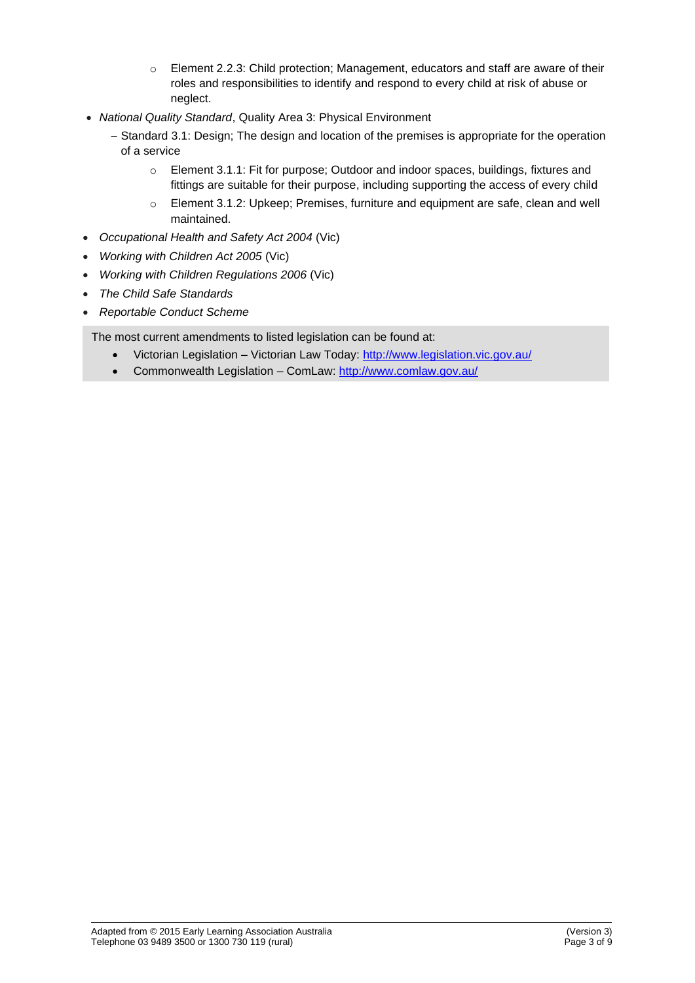- o Element 2.2.3: Child protection; Management, educators and staff are aware of their roles and responsibilities to identify and respond to every child at risk of abuse or neglect.
- *National Quality Standard*, Quality Area 3: Physical Environment
	- − Standard 3.1: Design; The design and location of the premises is appropriate for the operation of a service
		- o Element 3.1.1: Fit for purpose; Outdoor and indoor spaces, buildings, fixtures and fittings are suitable for their purpose, including supporting the access of every child
		- o Element 3.1.2: Upkeep; Premises, furniture and equipment are safe, clean and well maintained.
- *Occupational Health and Safety Act 2004* (Vic)
- *Working with Children Act 2005* (Vic)
- *Working with Children Regulations 2006* (Vic)
- *The Child Safe Standards*
- *Reportable Conduct Scheme*

The most current amendments to listed legislation can be found at:

- Victorian Legislation Victorian Law Today:<http://www.legislation.vic.gov.au/>
- Commonwealth Legislation ComLaw:<http://www.comlaw.gov.au/>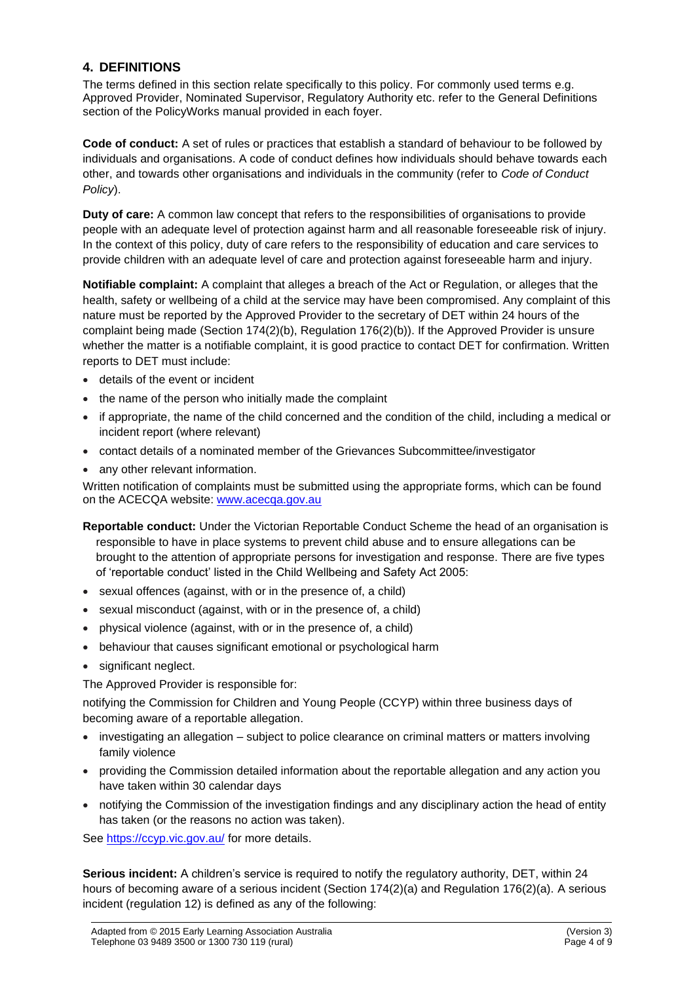## **4. DEFINITIONS**

The terms defined in this section relate specifically to this policy. For commonly used terms e.g. Approved Provider, Nominated Supervisor, Regulatory Authority etc. refer to the General Definitions section of the PolicyWorks manual provided in each foyer.

**Code of conduct:** A set of rules or practices that establish a standard of behaviour to be followed by individuals and organisations. A code of conduct defines how individuals should behave towards each other, and towards other organisations and individuals in the community (refer to *Code of Conduct Policy*).

**Duty of care:** A common law concept that refers to the responsibilities of organisations to provide people with an adequate level of protection against harm and all reasonable foreseeable risk of injury. In the context of this policy, duty of care refers to the responsibility of education and care services to provide children with an adequate level of care and protection against foreseeable harm and injury.

**Notifiable complaint:** A complaint that alleges a breach of the Act or Regulation, or alleges that the health, safety or wellbeing of a child at the service may have been compromised. Any complaint of this nature must be reported by the Approved Provider to the secretary of DET within 24 hours of the complaint being made (Section 174(2)(b), Regulation 176(2)(b)). If the Approved Provider is unsure whether the matter is a notifiable complaint, it is good practice to contact DET for confirmation. Written reports to DET must include:

- details of the event or incident
- the name of the person who initially made the complaint
- if appropriate, the name of the child concerned and the condition of the child, including a medical or incident report (where relevant)
- contact details of a nominated member of the Grievances Subcommittee/investigator
- any other relevant information.

Written notification of complaints must be submitted using the appropriate forms, which can be found on the ACECQA website: [www.acecqa.gov.au](http://www.acecqa.gov.au/)

- **Reportable conduct:** Under the Victorian Reportable Conduct Scheme the head of an organisation is responsible to have in place systems to prevent child abuse and to ensure allegations can be brought to the attention of appropriate persons for investigation and response. There are five types of 'reportable conduct' listed in the Child Wellbeing and Safety Act 2005:
- sexual offences (against, with or in the presence of, a child)
- sexual misconduct (against, with or in the presence of, a child)
- physical violence (against, with or in the presence of, a child)
- behaviour that causes significant emotional or psychological harm
- significant neglect.

The Approved Provider is responsible for:

notifying the Commission for Children and Young People (CCYP) within three business days of becoming aware of a reportable allegation.

- investigating an allegation subject to police clearance on criminal matters or matters involving family violence
- providing the Commission detailed information about the reportable allegation and any action you have taken within 30 calendar days
- notifying the Commission of the investigation findings and any disciplinary action the head of entity has taken (or the reasons no action was taken).

See<https://ccyp.vic.gov.au/> for more details.

**Serious incident:** A children's service is required to notify the regulatory authority, DET, within 24 hours of becoming aware of a serious incident (Section 174(2)(a) and Regulation 176(2)(a). A serious incident (regulation 12) is defined as any of the following: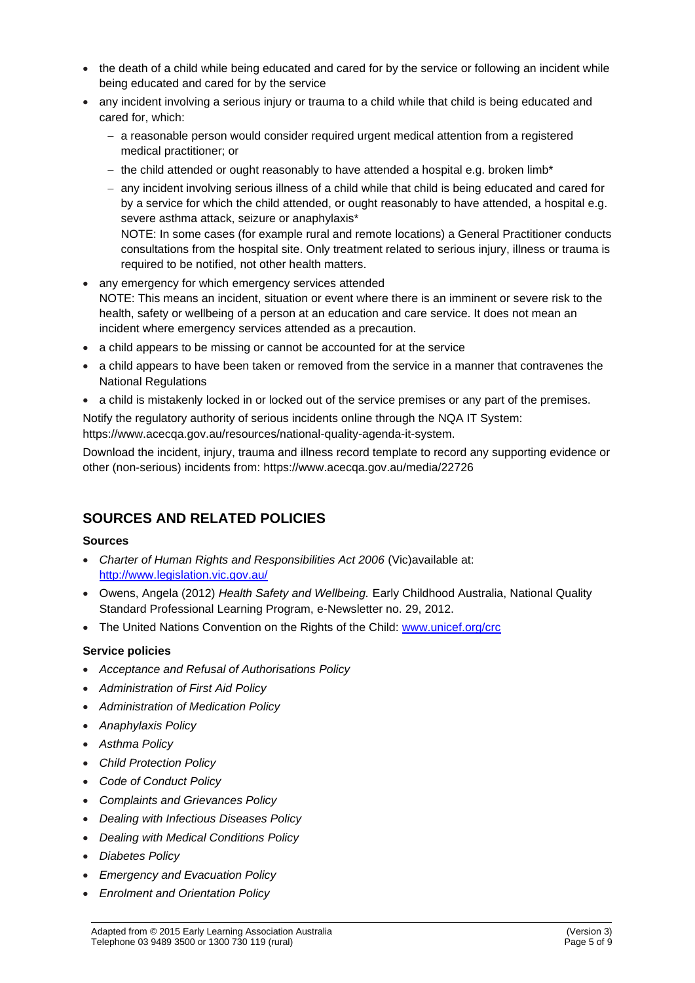- the death of a child while being educated and cared for by the service or following an incident while being educated and cared for by the service
- any incident involving a serious injury or trauma to a child while that child is being educated and cared for, which:
	- − a reasonable person would consider required urgent medical attention from a registered medical practitioner; or
	- − the child attended or ought reasonably to have attended a hospital e.g. broken limb\*
	- − any incident involving serious illness of a child while that child is being educated and cared for by a service for which the child attended, or ought reasonably to have attended, a hospital e.g. severe asthma attack, seizure or anaphylaxis\* NOTE: In some cases (for example rural and remote locations) a General Practitioner conducts

consultations from the hospital site. Only treatment related to serious injury, illness or trauma is required to be notified, not other health matters.

- any emergency for which emergency services attended NOTE: This means an incident, situation or event where there is an imminent or severe risk to the health, safety or wellbeing of a person at an education and care service. It does not mean an incident where emergency services attended as a precaution.
- a child appears to be missing or cannot be accounted for at the service
- a child appears to have been taken or removed from the service in a manner that contravenes the National Regulations
- a child is mistakenly locked in or locked out of the service premises or any part of the premises.

Notify the regulatory authority of serious incidents online through the NQA IT System: https://www.acecqa.gov.au/resources/national-quality-agenda-it-system.

Download the incident, injury, trauma and illness record template to record any supporting evidence or other (non-serious) incidents from: https://www.acecqa.gov.au/media/22726

## **SOURCES AND RELATED POLICIES**

#### **Sources**

- *Charter of Human Rights and Responsibilities Act 2006* (Vic)available at: <http://www.legislation.vic.gov.au/>
- Owens, Angela (2012) *Health Safety and Wellbeing.* Early Childhood Australia, National Quality Standard Professional Learning Program, e-Newsletter no. 29, 2012.
- The United Nations Convention on the Rights of the Child: [www.unicef.org/crc](http://www.unicef.org/crc)

#### **Service policies**

- *Acceptance and Refusal of Authorisations Policy*
- *Administration of First Aid Policy*
- *Administration of Medication Policy*
- *Anaphylaxis Policy*
- *Asthma Policy*
- *Child Protection Policy*
- *Code of Conduct Policy*
- *Complaints and Grievances Policy*
- *Dealing with Infectious Diseases Policy*
- *Dealing with Medical Conditions Policy*
- *Diabetes Policy*
- *Emergency and Evacuation Policy*
- *Enrolment and Orientation Policy*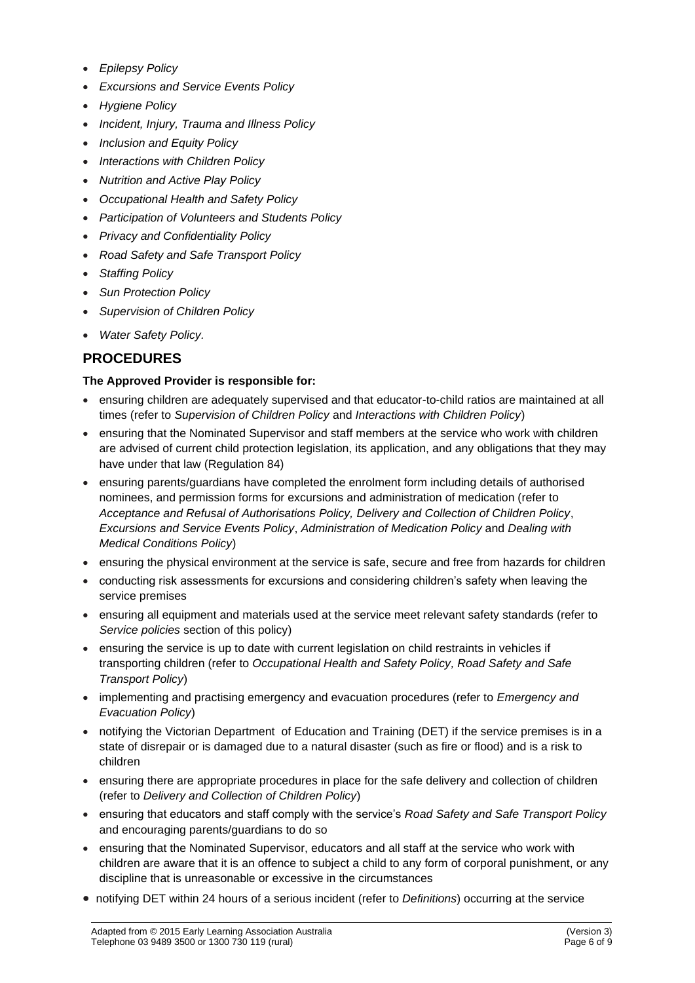- *Epilepsy Policy*
- *Excursions and Service Events Policy*
- *Hygiene Policy*
- *Incident, Injury, Trauma and Illness Policy*
- *Inclusion and Equity Policy*
- *Interactions with Children Policy*
- *Nutrition and Active Play Policy*
- *Occupational Health and Safety Policy*
- *Participation of Volunteers and Students Policy*
- *Privacy and Confidentiality Policy*
- *Road Safety and Safe Transport Policy*
- *Staffing Policy*
- *Sun Protection Policy*
- *Supervision of Children Policy*
- *Water Safety Policy.*

## **PROCEDURES**

#### **The Approved Provider is responsible for:**

- ensuring children are adequately supervised and that educator-to-child ratios are maintained at all times (refer to *Supervision of Children Policy* and *Interactions with Children Policy*)
- ensuring that the Nominated Supervisor and staff members at the service who work with children are advised of current child protection legislation, its application, and any obligations that they may have under that law (Regulation 84)
- ensuring parents/guardians have completed the enrolment form including details of authorised nominees, and permission forms for excursions and administration of medication (refer to *Acceptance and Refusal of Authorisations Policy, Delivery and Collection of Children Policy*, *Excursions and Service Events Policy*, *Administration of Medication Policy* and *Dealing with Medical Conditions Policy*)
- ensuring the physical environment at the service is safe, secure and free from hazards for children
- conducting risk assessments for excursions and considering children's safety when leaving the service premises
- ensuring all equipment and materials used at the service meet relevant safety standards (refer to *Service policies* section of this policy)
- ensuring the service is up to date with current legislation on child restraints in vehicles if transporting children (refer to *Occupational Health and Safety Policy, Road Safety and Safe Transport Policy*)
- implementing and practising emergency and evacuation procedures (refer to *Emergency and Evacuation Policy*)
- notifying the Victorian Department of Education and Training (DET) if the service premises is in a state of disrepair or is damaged due to a natural disaster (such as fire or flood) and is a risk to children
- ensuring there are appropriate procedures in place for the safe delivery and collection of children (refer to *Delivery and Collection of Children Policy*)
- ensuring that educators and staff comply with the service's *Road Safety and Safe Transport Policy* and encouraging parents/guardians to do so
- ensuring that the Nominated Supervisor, educators and all staff at the service who work with children are aware that it is an offence to subject a child to any form of corporal punishment, or any discipline that is unreasonable or excessive in the circumstances
- notifying DET within 24 hours of a serious incident (refer to *Definitions*) occurring at the service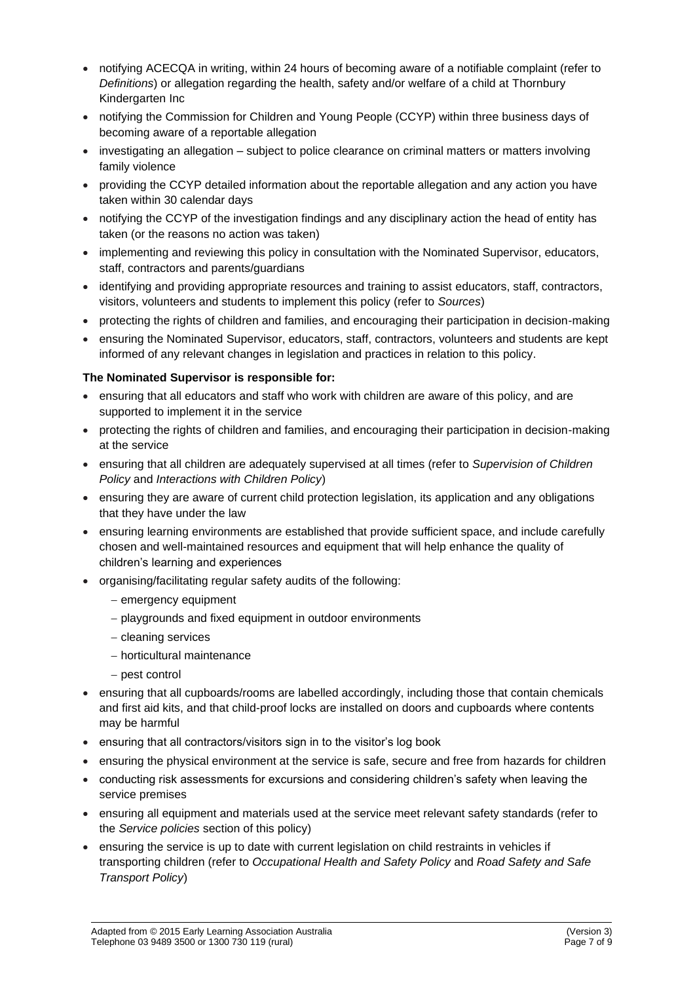- notifying ACECQA in writing, within 24 hours of becoming aware of a notifiable complaint (refer to *Definitions*) or allegation regarding the health, safety and/or welfare of a child at Thornbury Kindergarten Inc
- notifying the Commission for Children and Young People (CCYP) within three business days of becoming aware of a reportable allegation
- investigating an allegation subject to police clearance on criminal matters or matters involving family violence
- providing the CCYP detailed information about the reportable allegation and any action you have taken within 30 calendar days
- notifying the CCYP of the investigation findings and any disciplinary action the head of entity has taken (or the reasons no action was taken)
- implementing and reviewing this policy in consultation with the Nominated Supervisor, educators, staff, contractors and parents/guardians
- identifying and providing appropriate resources and training to assist educators, staff, contractors, visitors, volunteers and students to implement this policy (refer to *Sources*)
- protecting the rights of children and families, and encouraging their participation in decision-making
- ensuring the Nominated Supervisor, educators, staff, contractors, volunteers and students are kept informed of any relevant changes in legislation and practices in relation to this policy.

#### **The Nominated Supervisor is responsible for:**

- ensuring that all educators and staff who work with children are aware of this policy, and are supported to implement it in the service
- protecting the rights of children and families, and encouraging their participation in decision-making at the service
- ensuring that all children are adequately supervised at all times (refer to *Supervision of Children Policy* and *Interactions with Children Policy*)
- ensuring they are aware of current child protection legislation, its application and any obligations that they have under the law
- ensuring learning environments are established that provide sufficient space, and include carefully chosen and well-maintained resources and equipment that will help enhance the quality of children's learning and experiences
- organising/facilitating regular safety audits of the following:
	- − emergency equipment
	- − playgrounds and fixed equipment in outdoor environments
	- − cleaning services
	- − horticultural maintenance
	- − pest control
- ensuring that all cupboards/rooms are labelled accordingly, including those that contain chemicals and first aid kits, and that child-proof locks are installed on doors and cupboards where contents may be harmful
- ensuring that all contractors/visitors sign in to the visitor's log book
- ensuring the physical environment at the service is safe, secure and free from hazards for children
- conducting risk assessments for excursions and considering children's safety when leaving the service premises
- ensuring all equipment and materials used at the service meet relevant safety standards (refer to the *Service policies* section of this policy)
- ensuring the service is up to date with current legislation on child restraints in vehicles if transporting children (refer to *Occupational Health and Safety Policy* and *Road Safety and Safe Transport Policy*)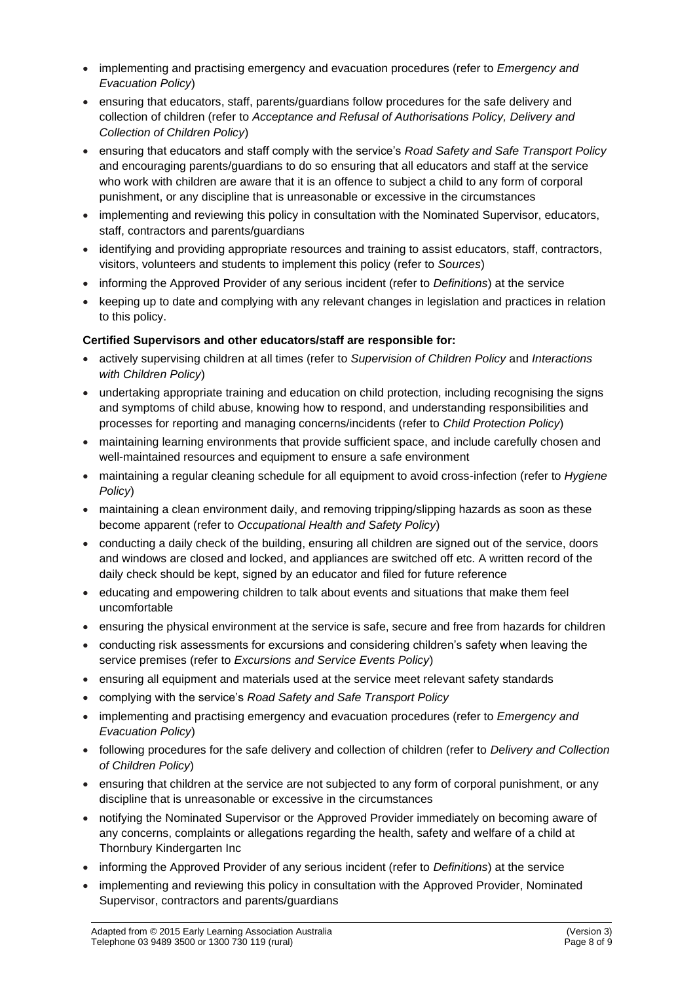- implementing and practising emergency and evacuation procedures (refer to *Emergency and Evacuation Policy*)
- ensuring that educators, staff, parents/guardians follow procedures for the safe delivery and collection of children (refer to *Acceptance and Refusal of Authorisations Policy, Delivery and Collection of Children Policy*)
- ensuring that educators and staff comply with the service's *Road Safety and Safe Transport Policy*  and encouraging parents/guardians to do so ensuring that all educators and staff at the service who work with children are aware that it is an offence to subject a child to any form of corporal punishment, or any discipline that is unreasonable or excessive in the circumstances
- implementing and reviewing this policy in consultation with the Nominated Supervisor, educators, staff, contractors and parents/guardians
- identifying and providing appropriate resources and training to assist educators, staff, contractors, visitors, volunteers and students to implement this policy (refer to *Sources*)
- informing the Approved Provider of any serious incident (refer to *Definitions*) at the service
- keeping up to date and complying with any relevant changes in legislation and practices in relation to this policy.

#### **Certified Supervisors and other educators/staff are responsible for:**

- actively supervising children at all times (refer to *Supervision of Children Policy* and *Interactions with Children Policy*)
- undertaking appropriate training and education on child protection, including recognising the signs and symptoms of child abuse, knowing how to respond, and understanding responsibilities and processes for reporting and managing concerns/incidents (refer to *Child Protection Policy*)
- maintaining learning environments that provide sufficient space, and include carefully chosen and well-maintained resources and equipment to ensure a safe environment
- maintaining a regular cleaning schedule for all equipment to avoid cross-infection (refer to *Hygiene Policy*)
- maintaining a clean environment daily, and removing tripping/slipping hazards as soon as these become apparent (refer to *Occupational Health and Safety Policy*)
- conducting a daily check of the building, ensuring all children are signed out of the service, doors and windows are closed and locked, and appliances are switched off etc. A written record of the daily check should be kept, signed by an educator and filed for future reference
- educating and empowering children to talk about events and situations that make them feel uncomfortable
- ensuring the physical environment at the service is safe, secure and free from hazards for children
- conducting risk assessments for excursions and considering children's safety when leaving the service premises (refer to *Excursions and Service Events Policy*)
- ensuring all equipment and materials used at the service meet relevant safety standards
- complying with the service's *Road Safety and Safe Transport Policy*
- implementing and practising emergency and evacuation procedures (refer to *Emergency and Evacuation Policy*)
- following procedures for the safe delivery and collection of children (refer to *Delivery and Collection of Children Policy*)
- ensuring that children at the service are not subjected to any form of corporal punishment, or any discipline that is unreasonable or excessive in the circumstances
- notifying the Nominated Supervisor or the Approved Provider immediately on becoming aware of any concerns, complaints or allegations regarding the health, safety and welfare of a child at Thornbury Kindergarten Inc
- informing the Approved Provider of any serious incident (refer to *Definitions*) at the service
- implementing and reviewing this policy in consultation with the Approved Provider, Nominated Supervisor, contractors and parents/guardians